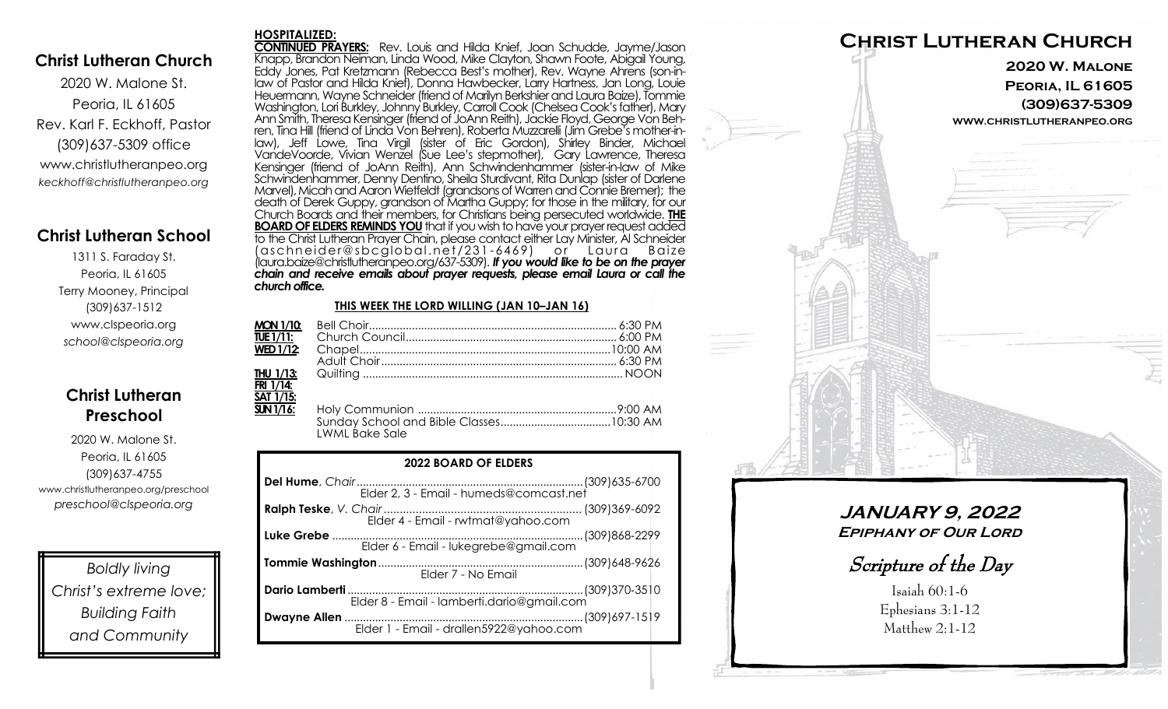### **Christ Lutheran Church**

2020 W. Malone St. Peoria, IL 61605 Rev. Karl F. Eckhoff, Pastor (309)637-5309 office www.christlutheranpeo.org *keckhoff@christlutheranpeo.org*

## **Christ Lutheran School**

1311 S. Faraday St. Peoria, IL 61605 Terry Mooney, Principal (309)637-1512 www.clspeoria.org *school@clspeoria.org*

## **Christ Lutheran Preschool**

2020 W. Malone St. Peoria, IL 61605 (309)637-4755 www.christlutheranpeo.org/preschool *preschool@clspeoria.org*

*Boldly living Christ's extreme love; Building Faith and Community*

#### **HOSPITALIZED:**

**CONTINUED PRAYERS:** Rev. Louis and Hilda Knief, Joan Schudde, Jayme/Jason Knapp, Brandon Neiman, Linda Wood, Mike Clayton, Shawn Foote, Abigail Young, Eddy Jones, Pat Kretzmann (Rebecca Best's mother), Rev. Wayne Ahrens (son-inlaw of Pastor and Hilda Knief), Donna Hawbecker, Larry Hartness, Jan Long, Louie Heuermann, Wayne Schneider (friend of Marilyn Berkshier and Laura Baize), Tommie Washington, Lori Burkley, Johnny Burkley, Carroll Cook (Chelsea Cook's father), Mary Ann Smith, Theresa Kensinger (friend of JoAnn Reith), Jackie Floyd, George Von Behren, Tina Hill (friend of Linda Von Behren), Roberta Muzzarelli (Jim Grebe's mother-inlaw), Jeff Lowe, Tina Virgil (sister of Eric Gordon), Shirley Binder, Michael VandeVoorde, Vivian Wenzel (Sue Lee's stepmother), Gary Lawrence, Theresa Kensinger (friend of JoAnn Reith), Ann Schwindenhammer (sister-in-law of Mike Schwindenhammer, Denny Dentino, Sheila Sturdivant, Rita Dunlap (sister of Darlene Marvel), Micah and Aaron Wietfeldt (grandsons of Warren and Connie Bremer); the death of Derek Guppy, grandson of Martha Guppy; for those in the military, for our Church Boards and their members, for Christians being persecuted worldwide. **THE BOARD OF ELDERS REMINDS YOU** that if you wish to have your prayer request added to the Christ Lutheran Prayer Chain, please contact either Lay Minister, Al Schneider (aschn ei der@sbcglo bal .net/231 -6469) o r L aura B aize (laura.baize@christlutheranpeo.org/637-5309). *If you would like to be on the prayer chain and receive emails about prayer requests, please email Laura or call the church office.*

### **THIS WEEK THE LORD WILLING (JAN 10–JAN 16)**

| <b>MON 1/10:</b>               |                |  |
|--------------------------------|----------------|--|
| TUE 1/11:                      |                |  |
| <b>WED 1/12:</b>               |                |  |
|                                |                |  |
| THU 1/13:                      |                |  |
| FRI 1/14:                      |                |  |
| $\overline{\text{SAT }1/15}$ : |                |  |
| SUN 1/16:                      | LWML Bake Sale |  |

| <b>2022 BOARD OF ELDERS</b> |  |
|-----------------------------|--|
|                             |  |
|                             |  |
|                             |  |
| Elder 7 - No Email          |  |
|                             |  |
|                             |  |



## **JANUARY 9, 2022 Epiphany of Our Lord**

Scripture of the Day

Isaiah 60:1-6 Ephesians 3:1-12 Matthew 2:1-12